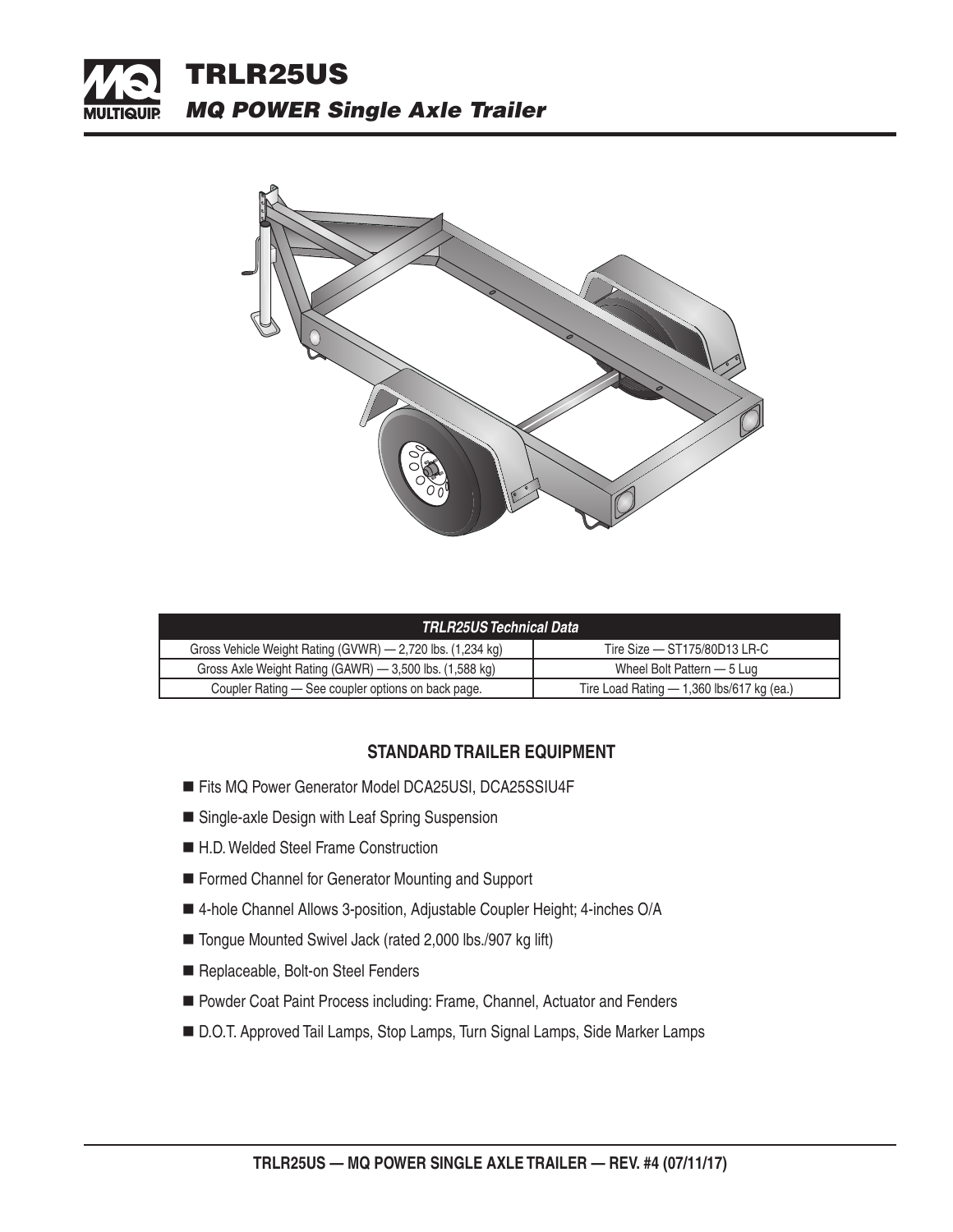



| TRLR25US Technical Data                                    |                                             |  |  |  |
|------------------------------------------------------------|---------------------------------------------|--|--|--|
| Gross Vehicle Weight Rating (GVWR) — 2,720 lbs. (1,234 kg) | Tire Size $-$ ST175/80D13 LR-C              |  |  |  |
| Gross Axle Weight Rating (GAWR) - 3,500 lbs. (1,588 kg)    | Wheel Bolt Pattern – 5 Lug                  |  |  |  |
| Coupler Rating — See coupler options on back page.         | Tire Load Rating $-$ 1,360 lbs/617 kg (ea.) |  |  |  |

## **STANDARD TRAILER EQUIPMENT**

- Fits MQ Power Generator Model DCA25USI, DCA25SSIU4F
- Single-axle Design with Leaf Spring Suspension
- H.D. Welded Steel Frame Construction
- Formed Channel for Generator Mounting and Support
- 4-hole Channel Allows 3-position, Adjustable Coupler Height; 4-inches O/A
- Tongue Mounted Swivel Jack (rated 2,000 lbs./907 kg lift)
- Replaceable, Bolt-on Steel Fenders
- Powder Coat Paint Process including: Frame, Channel, Actuator and Fenders
- D.O.T. Approved Tail Lamps, Stop Lamps, Turn Signal Lamps, Side Marker Lamps